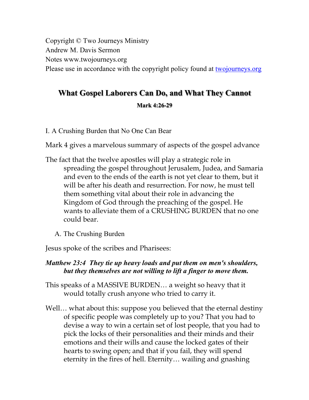Copyright © Two Journeys Ministry Andrew M. Davis Sermon Notes www.twojourneys.org Please use in accordance with the copyright policy found at two journeys.org

# **What Gospel Laborers Can Do, and What They Cannot**

#### **Mark 4:26-29**

I. A Crushing Burden that No One Can Bear

Mark 4 gives a marvelous summary of aspects of the gospel advance

- The fact that the twelve apostles will play a strategic role in spreading the gospel throughout Jerusalem, Judea, and Samaria and even to the ends of the earth is not yet clear to them, but it will be after his death and resurrection. For now, he must tell them something vital about their role in advancing the Kingdom of God through the preaching of the gospel. He wants to alleviate them of a CRUSHING BURDEN that no one could bear.
	- A. The Crushing Burden

Jesus spoke of the scribes and Pharisees:

## *Matthew 23:4 They tie up heavy loads and put them on men's shoulders, but they themselves are not willing to lift a finger to move them.*

- This speaks of a MASSIVE BURDEN… a weight so heavy that it would totally crush anyone who tried to carry it.
- Well… what about this: suppose you believed that the eternal destiny of specific people was completely up to you? That you had to devise a way to win a certain set of lost people, that you had to pick the locks of their personalities and their minds and their emotions and their wills and cause the locked gates of their hearts to swing open; and that if you fail, they will spend eternity in the fires of hell. Eternity… wailing and gnashing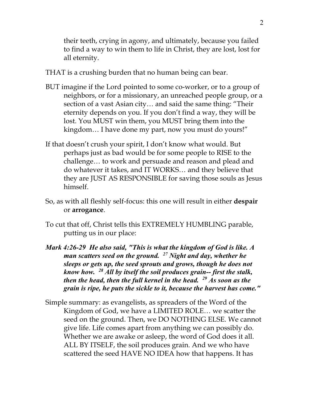their teeth, crying in agony, and ultimately, because you failed to find a way to win them to life in Christ, they are lost, lost for all eternity.

THAT is a crushing burden that no human being can bear.

- BUT imagine if the Lord pointed to some co-worker, or to a group of neighbors, or for a missionary, an unreached people group, or a section of a vast Asian city… and said the same thing: "Their eternity depends on you. If you don't find a way, they will be lost. You MUST win them, you MUST bring them into the kingdom… I have done my part, now you must do yours!"
- If that doesn't crush your spirit, I don't know what would. But perhaps just as bad would be for some people to RISE to the challenge… to work and persuade and reason and plead and do whatever it takes, and IT WORKS… and they believe that they are JUST AS RESPONSIBLE for saving those souls as Jesus himself.
- So, as with all fleshly self-focus: this one will result in either **despair** or **arrogance**.
- To cut that off, Christ tells this EXTREMELY HUMBLING parable, putting us in our place:
- *Mark 4:26-29 He also said, "This is what the kingdom of God is like. A man scatters seed on the ground. 27 Night and day, whether he sleeps or gets up, the seed sprouts and grows, though he does not know how. 28 All by itself the soil produces grain-- first the stalk, then the head, then the full kernel in the head. 29 As soon as the grain is ripe, he puts the sickle to it, because the harvest has come."*
- Simple summary: as evangelists, as spreaders of the Word of the Kingdom of God, we have a LIMITED ROLE… we scatter the seed on the ground. Then, we DO NOTHING ELSE. We cannot give life. Life comes apart from anything we can possibly do. Whether we are awake or asleep, the word of God does it all. ALL BY ITSELF, the soil produces grain. And we who have scattered the seed HAVE NO IDEA how that happens. It has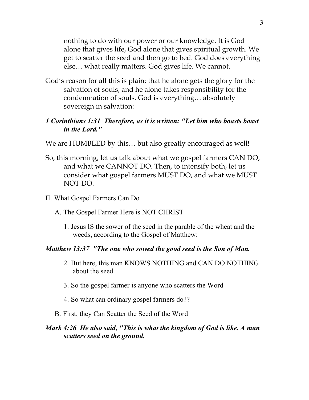nothing to do with our power or our knowledge. It is God alone that gives life, God alone that gives spiritual growth. We get to scatter the seed and then go to bed. God does everything else… what really matters. God gives life. We cannot.

God's reason for all this is plain: that he alone gets the glory for the salvation of souls, and he alone takes responsibility for the condemnation of souls. God is everything… absolutely sovereign in salvation:

#### *1 Corinthians 1:31 Therefore, as it is written: "Let him who boasts boast in the Lord."*

- We are HUMBLED by this... but also greatly encouraged as well!
- So, this morning, let us talk about what we gospel farmers CAN DO, and what we CANNOT DO. Then, to intensify both, let us consider what gospel farmers MUST DO, and what we MUST NOT DO.
- II. What Gospel Farmers Can Do
	- A. The Gospel Farmer Here is NOT CHRIST
		- 1. Jesus IS the sower of the seed in the parable of the wheat and the weeds, according to the Gospel of Matthew:

#### *Matthew 13:37 "The one who sowed the good seed is the Son of Man.*

- 2. But here, this man KNOWS NOTHING and CAN DO NOTHING about the seed
- 3. So the gospel farmer is anyone who scatters the Word
- 4. So what can ordinary gospel farmers do??
- B. First, they Can Scatter the Seed of the Word

#### *Mark 4:26 He also said, "This is what the kingdom of God is like. A man scatters seed on the ground.*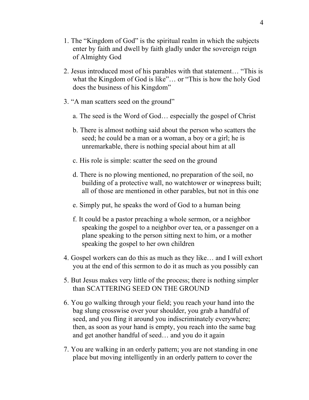- 1. The "Kingdom of God" is the spiritual realm in which the subjects enter by faith and dwell by faith gladly under the sovereign reign of Almighty God
- 2. Jesus introduced most of his parables with that statement… "This is what the Kingdom of God is like"… or "This is how the holy God does the business of his Kingdom"
- 3. "A man scatters seed on the ground"
	- a. The seed is the Word of God… especially the gospel of Christ
	- b. There is almost nothing said about the person who scatters the seed; he could be a man or a woman, a boy or a girl; he is unremarkable, there is nothing special about him at all
	- c. His role is simple: scatter the seed on the ground
	- d. There is no plowing mentioned, no preparation of the soil, no building of a protective wall, no watchtower or winepress built; all of those are mentioned in other parables, but not in this one
	- e. Simply put, he speaks the word of God to a human being
	- f. It could be a pastor preaching a whole sermon, or a neighbor speaking the gospel to a neighbor over tea, or a passenger on a plane speaking to the person sitting next to him, or a mother speaking the gospel to her own children
- 4. Gospel workers can do this as much as they like… and I will exhort you at the end of this sermon to do it as much as you possibly can
- 5. But Jesus makes very little of the process; there is nothing simpler than SCATTERING SEED ON THE GROUND
- 6. You go walking through your field; you reach your hand into the bag slung crosswise over your shoulder, you grab a handful of seed, and you fling it around you indiscriminately everywhere; then, as soon as your hand is empty, you reach into the same bag and get another handful of seed… and you do it again
- 7. You are walking in an orderly pattern; you are not standing in one place but moving intelligently in an orderly pattern to cover the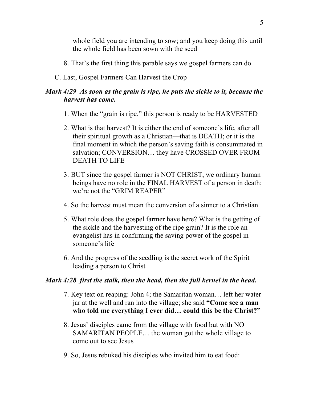whole field you are intending to sow; and you keep doing this until the whole field has been sown with the seed

- 8. That's the first thing this parable says we gospel farmers can do
- C. Last, Gospel Farmers Can Harvest the Crop

# *Mark 4:29 As soon as the grain is ripe, he puts the sickle to it, because the harvest has come.*

- 1. When the "grain is ripe," this person is ready to be HARVESTED
- 2. What is that harvest? It is either the end of someone's life, after all their spiritual growth as a Christian—that is DEATH; or it is the final moment in which the person's saving faith is consummated in salvation; CONVERSION… they have CROSSED OVER FROM DEATH TO LIFE
- 3. BUT since the gospel farmer is NOT CHRIST, we ordinary human beings have no role in the FINAL HARVEST of a person in death; we're not the "GRIM REAPER"
- 4. So the harvest must mean the conversion of a sinner to a Christian
- 5. What role does the gospel farmer have here? What is the getting of the sickle and the harvesting of the ripe grain? It is the role an evangelist has in confirming the saving power of the gospel in someone's life
- 6. And the progress of the seedling is the secret work of the Spirit leading a person to Christ

# *Mark 4:28 first the stalk, then the head, then the full kernel in the head.*

- 7. Key text on reaping: John 4; the Samaritan woman… left her water jar at the well and ran into the village; she said **"Come see a man who told me everything I ever did… could this be the Christ?"**
- 8. Jesus' disciples came from the village with food but with NO SAMARITAN PEOPLE… the woman got the whole village to come out to see Jesus
- 9. So, Jesus rebuked his disciples who invited him to eat food: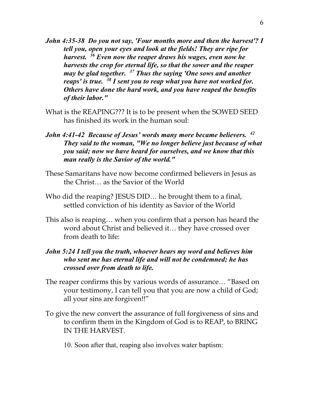- *John 4:35-38 Do you not say, 'Four months more and then the harvest'? I tell you, open your eyes and look at the fields! They are ripe for harvest. 36 Even now the reaper draws his wages, even now he harvests the crop for eternal life, so that the sower and the reaper may be glad together. 37 Thus the saying 'One sows and another reaps' is true. 38 I sent you to reap what you have not worked for. Others have done the hard work, and you have reaped the benefits of their labor."*
- What is the REAPING??? It is to be present when the SOWED SEED has finished its work in the human soul:
- *John 4:41-42 Because of Jesus' words many more became believers. 42 They said to the woman, "We no longer believe just because of what you said; now we have heard for ourselves, and we know that this man really is the Savior of the world."*
- These Samaritans have now become confirmed believers in Jesus as the Christ… as the Savior of the World
- Who did the reaping? JESUS DID… he brought them to a final, settled conviction of his identity as Savior of the World
- This also is reaping… when you confirm that a person has heard the word about Christ and believed it… they have crossed over from death to life:

## *John 5:24 I tell you the truth, whoever hears my word and believes him who sent me has eternal life and will not be condemned; he has crossed over from death to life.*

- The reaper confirms this by various words of assurance… "Based on your testimony, I can tell you that you are now a child of God; all your sins are forgiven!!"
- To give the new convert the assurance of full forgiveness of sins and to confirm them in the Kingdom of God is to REAP, to BRING IN THE HARVEST.
	- 10. Soon after that, reaping also involves water baptism: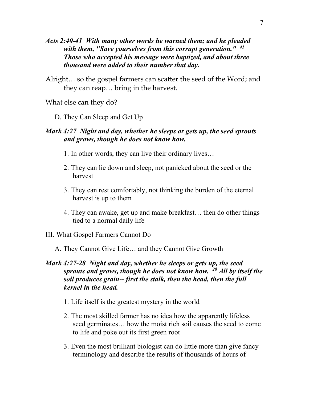- *Acts 2:40-41 With many other words he warned them; and he pleaded with them, "Save yourselves from this corrupt generation." 41 Those who accepted his message were baptized, and about three thousand were added to their number that day.*
- Alright… so the gospel farmers can scatter the seed of the Word; and they can reap… bring in the harvest.

What else can they do?

D. They Can Sleep and Get Up

#### *Mark 4:27 Night and day, whether he sleeps or gets up, the seed sprouts and grows, though he does not know how.*

- 1. In other words, they can live their ordinary lives…
- 2. They can lie down and sleep, not panicked about the seed or the harvest
- 3. They can rest comfortably, not thinking the burden of the eternal harvest is up to them
- 4. They can awake, get up and make breakfast… then do other things tied to a normal daily life
- III. What Gospel Farmers Cannot Do
	- A. They Cannot Give Life… and they Cannot Give Growth

#### *Mark 4:27-28 Night and day, whether he sleeps or gets up, the seed sprouts and grows, though he does not know how. 28 All by itself the soil produces grain-- first the stalk, then the head, then the full kernel in the head.*

- 1. Life itself is the greatest mystery in the world
- 2. The most skilled farmer has no idea how the apparently lifeless seed germinates… how the moist rich soil causes the seed to come to life and poke out its first green root
- 3. Even the most brilliant biologist can do little more than give fancy terminology and describe the results of thousands of hours of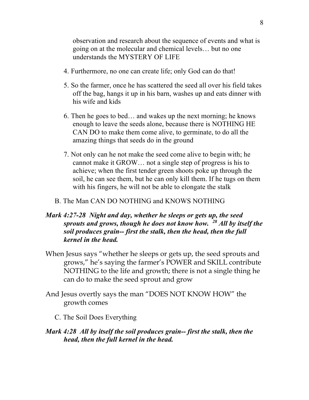observation and research about the sequence of events and what is going on at the molecular and chemical levels… but no one understands the MYSTERY OF LIFE

- 4. Furthermore, no one can create life; only God can do that!
- 5. So the farmer, once he has scattered the seed all over his field takes off the bag, hangs it up in his barn, washes up and eats dinner with his wife and kids
- 6. Then he goes to bed… and wakes up the next morning; he knows enough to leave the seeds alone, because there is NOTHING HE CAN DO to make them come alive, to germinate, to do all the amazing things that seeds do in the ground
- 7. Not only can he not make the seed come alive to begin with; he cannot make it GROW… not a single step of progress is his to achieve; when the first tender green shoots poke up through the soil, he can see them, but he can only kill them. If he tugs on them with his fingers, he will not be able to elongate the stalk
- B. The Man CAN DO NOTHING and KNOWS NOTHING

#### *Mark 4:27-28 Night and day, whether he sleeps or gets up, the seed sprouts and grows, though he does not know how. 28 All by itself the soil produces grain-- first the stalk, then the head, then the full kernel in the head.*

- When Jesus says "whether he sleeps or gets up, the seed sprouts and grows," he's saying the farmer's POWER and SKILL contribute NOTHING to the life and growth; there is not a single thing he can do to make the seed sprout and grow
- And Jesus overtly says the man "DOES NOT KNOW HOW" the growth comes
	- C. The Soil Does Everything

#### *Mark 4:28 All by itself the soil produces grain-- first the stalk, then the head, then the full kernel in the head.*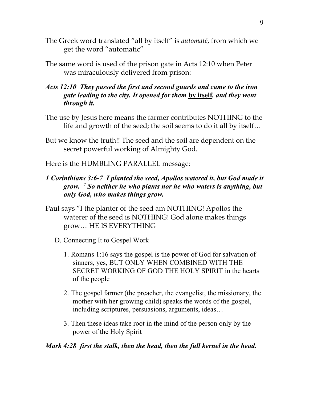- The Greek word translated "all by itself" is *automaté*, from which we get the word "automatic"
- The same word is used of the prison gate in Acts 12:10 when Peter was miraculously delivered from prison:
- *Acts 12:10 They passed the first and second guards and came to the iron gate leading to the city. It opened for them* **by itself***, and they went through it.*
- The use by Jesus here means the farmer contributes NOTHING to the life and growth of the seed; the soil seems to do it all by itself…
- But we know the truth!! The seed and the soil are dependent on the secret powerful working of Almighty God.
- Here is the HUMBLING PARALLEL message:

# *1 Corinthians 3:6-7 I planted the seed, Apollos watered it, but God made it grow. 7 So neither he who plants nor he who waters is anything, but only God, who makes things grow.*

- Paul says "I the planter of the seed am NOTHING! Apollos the waterer of the seed is NOTHING! God alone makes things grow… HE IS EVERYTHING
	- D. Connecting It to Gospel Work
		- 1. Romans 1:16 says the gospel is the power of God for salvation of sinners, yes, BUT ONLY WHEN COMBINED WITH THE SECRET WORKING OF GOD THE HOLY SPIRIT in the hearts of the people
		- 2. The gospel farmer (the preacher, the evangelist, the missionary, the mother with her growing child) speaks the words of the gospel, including scriptures, persuasions, arguments, ideas…
		- 3. Then these ideas take root in the mind of the person only by the power of the Holy Spirit

#### *Mark 4:28 first the stalk, then the head, then the full kernel in the head.*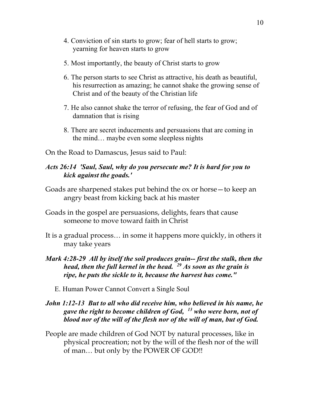- 4. Conviction of sin starts to grow; fear of hell starts to grow; yearning for heaven starts to grow
- 5. Most importantly, the beauty of Christ starts to grow
- 6. The person starts to see Christ as attractive, his death as beautiful, his resurrection as amazing; he cannot shake the growing sense of Christ and of the beauty of the Christian life
- 7. He also cannot shake the terror of refusing, the fear of God and of damnation that is rising
- 8. There are secret inducements and persuasions that are coming in the mind… maybe even some sleepless nights
- On the Road to Damascus, Jesus said to Paul:

#### *Acts 26:14 'Saul, Saul, why do you persecute me? It is hard for you to kick against the goads.'*

- Goads are sharpened stakes put behind the ox or horse—to keep an angry beast from kicking back at his master
- Goads in the gospel are persuasions, delights, fears that cause someone to move toward faith in Christ
- It is a gradual process… in some it happens more quickly, in others it may take years
- *Mark 4:28-29 All by itself the soil produces grain-- first the stalk, then the head, then the full kernel in the head. 29 As soon as the grain is ripe, he puts the sickle to it, because the harvest has come."*
	- E. Human Power Cannot Convert a Single Soul

#### *John 1:12-13 But to all who did receive him, who believed in his name, he gave the right to become children of God, 13 who were born, not of blood nor of the will of the flesh nor of the will of man, but of God.*

People are made children of God NOT by natural processes, like in physical procreation; not by the will of the flesh nor of the will of man… but only by the POWER OF GOD!!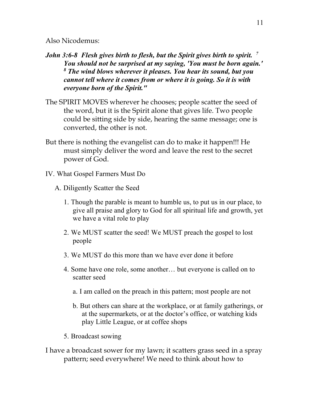Also Nicodemus:

- *John 3:6-8 Flesh gives birth to flesh, but the Spirit gives birth to spirit. 7 You should not be surprised at my saying, 'You must be born again.' <sup>8</sup> The wind blows wherever it pleases. You hear its sound, but you cannot tell where it comes from or where it is going. So it is with everyone born of the Spirit."*
- The SPIRIT MOVES wherever he chooses; people scatter the seed of the word, but it is the Spirit alone that gives life. Two people could be sitting side by side, hearing the same message; one is converted, the other is not.
- But there is nothing the evangelist can do to make it happen!!! He must simply deliver the word and leave the rest to the secret power of God.
- IV. What Gospel Farmers Must Do
	- A. Diligently Scatter the Seed
		- 1. Though the parable is meant to humble us, to put us in our place, to give all praise and glory to God for all spiritual life and growth, yet we have a vital role to play
		- 2. We MUST scatter the seed! We MUST preach the gospel to lost people
		- 3. We MUST do this more than we have ever done it before
		- 4. Some have one role, some another… but everyone is called on to scatter seed
			- a. I am called on the preach in this pattern; most people are not
			- b. But others can share at the workplace, or at family gatherings, or at the supermarkets, or at the doctor's office, or watching kids play Little League, or at coffee shops
		- 5. Broadcast sowing
- I have a broadcast sower for my lawn; it scatters grass seed in a spray pattern; seed everywhere! We need to think about how to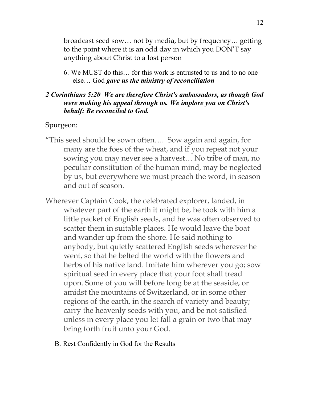broadcast seed sow… not by media, but by frequency… getting to the point where it is an odd day in which you DON'T say anything about Christ to a lost person

6. We MUST do this… for this work is entrusted to us and to no one else… God *gave us the ministry of reconciliation*

#### *2 Corinthians 5:20 We are therefore Christ's ambassadors, as though God were making his appeal through us. We implore you on Christ's behalf: Be reconciled to God.*

#### Spurgeon:

- "This seed should be sown often…. Sow again and again, for many are the foes of the wheat, and if you repeat not your sowing you may never see a harvest… No tribe of man, no peculiar constitution of the human mind, may be neglected by us, but everywhere we must preach the word, in season and out of season.
- Wherever Captain Cook, the celebrated explorer, landed, in whatever part of the earth it might be, he took with him a little packet of English seeds, and he was often observed to scatter them in suitable places. He would leave the boat and wander up from the shore. He said nothing to anybody, but quietly scattered English seeds wherever he went, so that he belted the world with the flowers and herbs of his native land. Imitate him wherever you go; sow spiritual seed in every place that your foot shall tread upon. Some of you will before long be at the seaside, or amidst the mountains of Switzerland, or in some other regions of the earth, in the search of variety and beauty; carry the heavenly seeds with you, and be not satisfied unless in every place you let fall a grain or two that may bring forth fruit unto your God.
	- B. Rest Confidently in God for the Results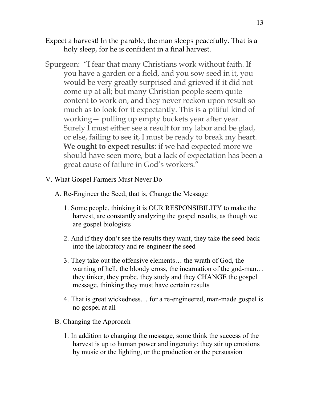- Expect a harvest! In the parable, the man sleeps peacefully. That is a holy sleep, for he is confident in a final harvest.
- Spurgeon: "I fear that many Christians work without faith. If you have a garden or a field, and you sow seed in it, you would be very greatly surprised and grieved if it did not come up at all; but many Christian people seem quite content to work on, and they never reckon upon result so much as to look for it expectantly. This is a pitiful kind of working— pulling up empty buckets year after year. Surely I must either see a result for my labor and be glad, or else, failing to see it, I must be ready to break my heart. **We ought to expect results**: if we had expected more we should have seen more, but a lack of expectation has been a great cause of failure in God's workers."
- V. What Gospel Farmers Must Never Do
	- A. Re-Engineer the Seed; that is, Change the Message
		- 1. Some people, thinking it is OUR RESPONSIBILITY to make the harvest, are constantly analyzing the gospel results, as though we are gospel biologists
		- 2. And if they don't see the results they want, they take the seed back into the laboratory and re-engineer the seed
		- 3. They take out the offensive elements… the wrath of God, the warning of hell, the bloody cross, the incarnation of the god-man… they tinker, they probe, they study and they CHANGE the gospel message, thinking they must have certain results
		- 4. That is great wickedness… for a re-engineered, man-made gospel is no gospel at all
	- B. Changing the Approach
		- 1. In addition to changing the message, some think the success of the harvest is up to human power and ingenuity; they stir up emotions by music or the lighting, or the production or the persuasion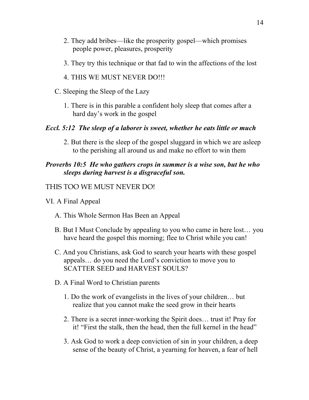- 2. They add bribes—like the prosperity gospel—which promises people power, pleasures, prosperity
- 3. They try this technique or that fad to win the affections of the lost
- 4. THIS WE MUST NEVER DO!!!
- C. Sleeping the Sleep of the Lazy
	- 1. There is in this parable a confident holy sleep that comes after a hard day's work in the gospel

#### *Eccl. 5:12 The sleep of a laborer is sweet, whether he eats little or much*

2. But there is the sleep of the gospel sluggard in which we are asleep to the perishing all around us and make no effort to win them

# *Proverbs 10:5 He who gathers crops in summer is a wise son, but he who sleeps during harvest is a disgraceful son.*

## THIS TOO WE MUST NEVER DO!

- VI. A Final Appeal
	- A. This Whole Sermon Has Been an Appeal
	- B. But I Must Conclude by appealing to you who came in here lost… you have heard the gospel this morning; flee to Christ while you can!
	- C. And you Christians, ask God to search your hearts with these gospel appeals… do you need the Lord's conviction to move you to SCATTER SEED and HARVEST SOULS?
	- D. A Final Word to Christian parents
		- 1. Do the work of evangelists in the lives of your children… but realize that you cannot make the seed grow in their hearts
		- 2. There is a secret inner-working the Spirit does… trust it! Pray for it! "First the stalk, then the head, then the full kernel in the head"
		- 3. Ask God to work a deep conviction of sin in your children, a deep sense of the beauty of Christ, a yearning for heaven, a fear of hell